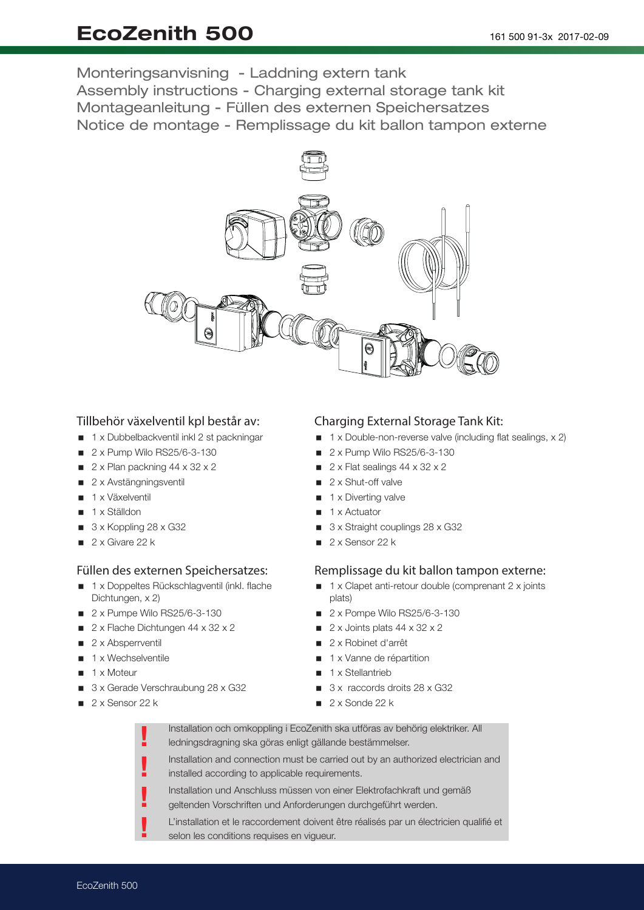# EcoZenith 500

Monteringsanvisning - Laddning extern tank Assembly instructions - Charging external storage tank kit Montageanleitung - Füllen des externen Speichersatzes Notice de montage - Remplissage du kit ballon tampon externe



## Tillbehör växelventil kpl består av:

- 1 x Dubbelbackventil inkl 2 st packningar
- 2 x Pump Wilo RS25/6-3-130
- $\blacksquare$  2 x Plan packning 44 x 32 x 2
- 2 x Avstängningsventil
- 1 x Växelventil
- 1 x Ställdon
- $\Box$  3 x Koppling 28 x G32
- $\Box$  2 x Givare 22 k

#### Füllen des externen Speichersatzes:

- 1 x Doppeltes Rückschlagventil (inkl. flache Dichtungen, x 2)
- $\blacksquare$  2 x Pumpe Wilo RS25/6-3-130
- $\blacksquare$  2 x Flache Dichtungen 44 x 32 x 2
- $\Box$  2 x Absperrventil
- $\blacksquare$  1 x Wechselventile
- $\blacksquare$  1 x Moteur
- 3 x Gerade Verschraubung 28 x G32

!

 $\blacksquare$  2 x Sensor 22 k

## Charging External Storage Tank Kit:

- $\blacksquare$  1 x Double-non-reverse valve (including flat sealings, x 2)
- **2 x Pump Wilo RS25/6-3-130**
- $\blacksquare$  2 x Flat sealings 44 x 32 x 2
- $\Box$  2 x Shut-off valve
- $\blacksquare$  1 x Diverting valve
- 1 x Actuator
- 3 x Straight couplings 28 x G32
- $\Box$  2 x Sensor 22 k

## Remplissage du kit ballon tampon externe:

- 1 x Clapet anti-retour double (comprenant 2 x joints plats)
- **2 x Pompe Wilo RS25/6-3-130**
- $\blacksquare$  2 x Joints plats 44 x 32 x 2
- 2 x Robinet d'arrêt
- 1 x Vanne de répartition
- $\blacksquare$  1 x Stellantrieb
- 3 x raccords droits 28 x G32
- $\sqrt{2 \times 3}$ onde 22 k

| Installation och omkoppling i EcoZenith ska utföras av behörig elektriker. All               |
|----------------------------------------------------------------------------------------------|
| ledningsdragning ska göras enligt gällande bestämmelser.                                     |
| والمتماطم والمرواس ووالسرم وسمريط للسم اوماسوهم وماللوسو ويمناه وموموم امورم ومناطوا وللمراس |

- Installation and connection must be carried out by an authorized electrician and installed according to applicable requirements. !
- Installation und Anschluss müssen von einer Elektrofachkraft und gemäß !
- geltenden Vorschriften und Anforderungen durchgeführt werden. !
	- L'installation et le raccordement doivent être réalisés par un électricien qualifié et selon les conditions requises en vigueur.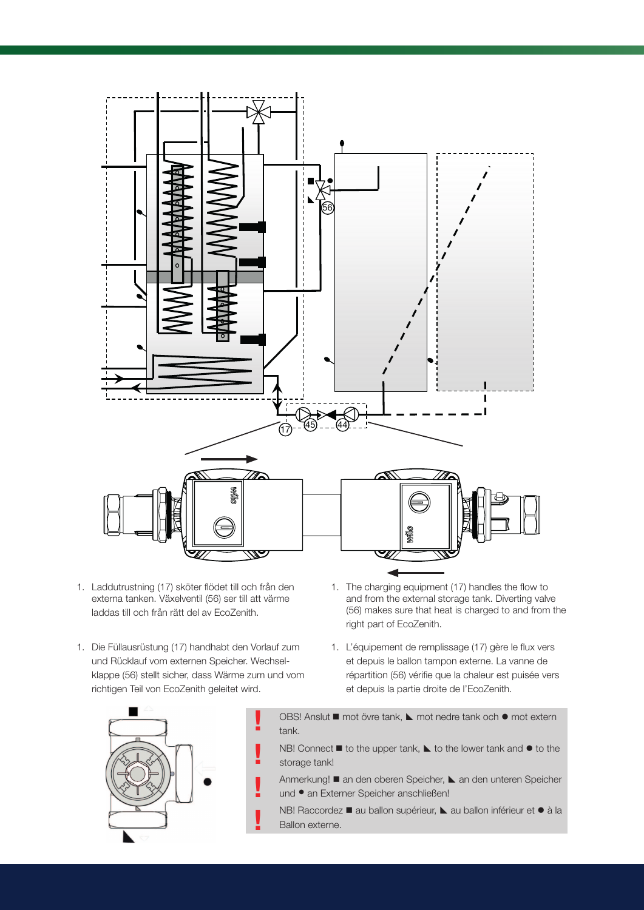

- 1. Laddutrustning (17) sköter flödet till och från den externa tanken. Växelventil (56) ser till att värme laddas till och från rätt del av EcoZenith.
- 1. Die Füllausrüstung (17) handhabt den Vorlauf zum und Rücklauf vom externen Speicher. Wechselklappe (56) stellt sicher, dass Wärme zum und vom richtigen Teil von EcoZenith geleitet wird.

!

!

!

!

- 1. The charging equipment (17) handles the flow to and from the external storage tank. Diverting valve (56) makes sure that heat is charged to and from the right part of EcoZenith.
- 1. L'équipement de remplissage (17) gère le flux vers et depuis le ballon tampon externe. La vanne de répartition (56) vérifie que la chaleur est puisée vers et depuis la partie droite de l'EcoZenith.



- OBS! Anslut mot övre tank, 
mot extern tank.
- NB! Connect  $\blacksquare$  to the upper tank,  $\blacktriangle$  to the lower tank and  $\blacklozenge$  to the storage tank!
- Anmerkung! an den oberen Speicher, L an den unteren Speicher und • an Externer Speicher anschließen!
- NB! Raccordez au ballon supérieur, L au ballon inférieur et · à la Ballon externe.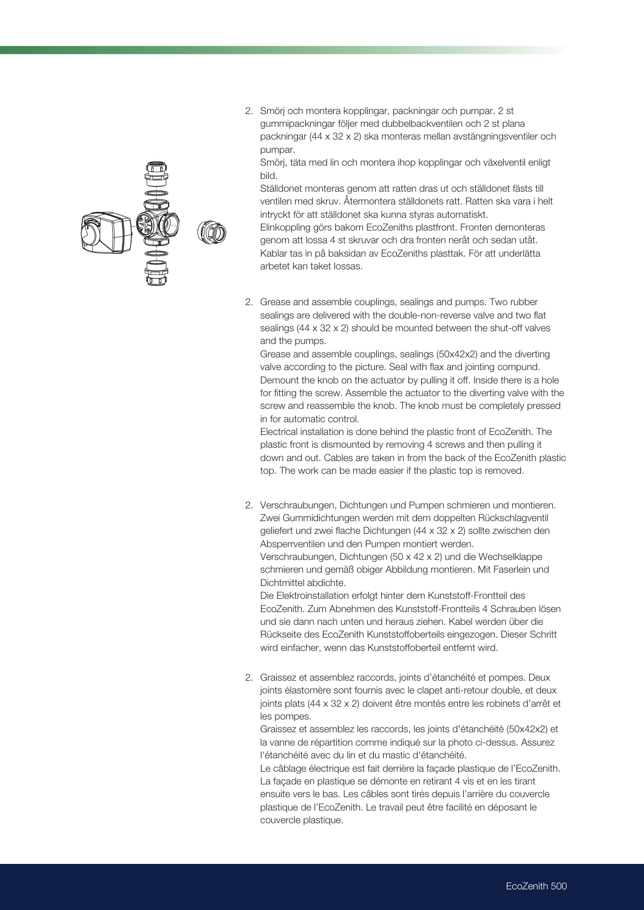2. Smörj och montera kopplingar, packningar och pumpar. 2 st gummipackningar följer med dubbelbackventilen och 2 st plana packningar (44 x 32 x 2) ska monteras mellan avstängningsventiler och pumpar.

Smörj, täta med lin och montera ihop kopplingar och växelventil enligt bild.

Ställdonet monteras genom att ratten dras ut och ställdonet fästs till ventilen med skruv. Återmontera ställdonets ratt. Ratten ska vara i helt intryckt för att ställdonet ska kunna styras automatiskt.

Elinkoppling görs bakom EcoZeniths plastfront. Fronten demonteras genom att lossa 4 st skruvar och dra fronten neråt och sedan utåt. Kablar tas in på baksidan av EcoZeniths plasttak. För att underlätta arbetet kan taket lossas.

2. Grease and assemble couplings, sealings and pumps. Two rubber sealings are delivered with the double-non-reverse valve and two flat sealings (44 x 32 x 2) should be mounted between the shut-off valves and the pumps.

Grease and assemble couplings, sealings (50x42x2) and the diverting valve according to the picture. Seal with flax and jointing compund. Demount the knob on the actuator by pulling it off. Inside there is a hole for fitting the screw. Assemble the actuator to the diverting valve with the screw and reassemble the knob. The knob must be completely pressed in for automatic control.

Electrical installation is done behind the plastic front of EcoZenith. The plastic front is dismounted by removing 4 screws and then pulling it down and out. Cables are taken in from the back of the EcoZenith plastic top. The work can be made easier if the plastic top is removed.

2. Verschraubungen, Dichtungen und Pumpen schmieren und montieren. Zwei Gummidichtungen werden mit dem doppelten Rückschlagventil geliefert und zwei flache Dichtungen (44 x 32 x 2) sollte zwischen den Absperrventilen und den Pumpen montiert werden. Verschraubungen, Dichtungen (50 x 42 x 2) und die Wechselklappe schmieren und gemäß obiger Abbildung montieren. Mit Faserlein und Dichtmittel abdichte. Die Elektroinstallation erfolgt hinter dem Kunststoff-Frontteil des

EcoZenith. Zum Abnehmen des Kunststoff-Frontteils 4 Schrauben lösen und sie dann nach unten und heraus ziehen. Kabel werden über die Rückseite des EcoZenith Kunststoffoberteils eingezogen. Dieser Schritt wird einfacher, wenn das Kunststoffoberteil entfernt wird.

2. Graissez et assemblez raccords, joints d'étanchéité et pompes. Deux joints élastomère sont fournis avec le clapet anti-retour double, et deux joints plats (44 x 32 x 2) doivent être montés entre les robinets d'arrêt et les pompes.

Graissez et assemblez les raccords, les joints d'étanchéité (50x42x2) et la vanne de répartition comme indiqué sur la photo ci-dessus. Assurez l'étanchéité avec du lin et du mastic d'étanchéité.

Le câblage électrique est fait derrière la façade plastique de l'EcoZenith. La façade en plastique se démonte en retirant 4 vis et en les tirant ensuite vers le bas. Les câbles sont tirés depuis l'arrière du couvercle plastique de l'EcoZenith. Le travail peut être facilité en déposant le couvercle plastique.